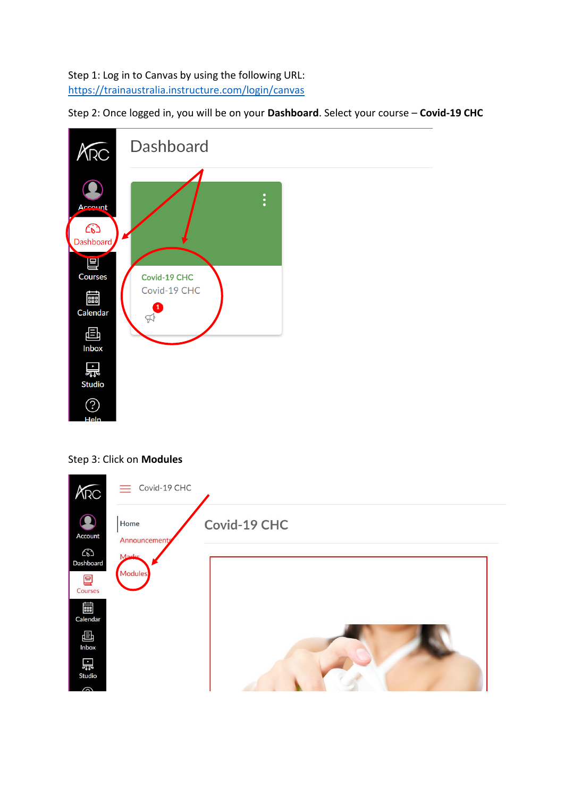## Step 1: Log in to Canvas by using the following URL: <https://trainaustralia.instructure.com/login/canvas>

Step 2: Once logged in, you will be on your **Dashboard**. Select your course – **Covid-19 CHC**



## Step 3: Click on **Modules**

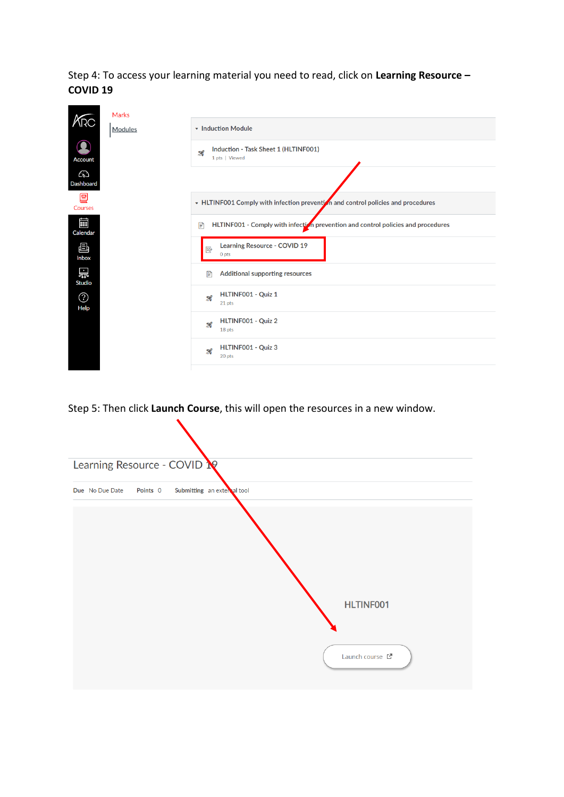Step 4: To access your learning material you need to read, click on **Learning Resource – COVID 19**

|                       | Marks   |                                                                                       |  |  |  |  |  |
|-----------------------|---------|---------------------------------------------------------------------------------------|--|--|--|--|--|
|                       | Modules | • Induction Module                                                                    |  |  |  |  |  |
| <b>Account</b>        |         | Induction - Task Sheet 1 (HLTINF001)<br>$\boldsymbol{\mathcal{Z}}$<br>1 pts   Viewed  |  |  |  |  |  |
| ධ<br><b>Dashboard</b> |         |                                                                                       |  |  |  |  |  |
| ▤<br><b>Courses</b>   |         | • HLTINF001 Comply with infection prevention and control policies and procedures      |  |  |  |  |  |
| 藟<br>Calendar         |         | HLTINF001 - Comply with infection prevention and control policies and procedures<br>P |  |  |  |  |  |
| 画<br><b>Inbox</b>     |         | Learning Resource - COVID 19<br>國<br>0 <sub>pts</sub>                                 |  |  |  |  |  |
| 岊<br><b>Studio</b>    |         | <b>Additional supporting resources</b><br>P                                           |  |  |  |  |  |
| ⓒ<br>Help             |         | HLTINF001 - Quiz 1<br>$\mathbf{z}$<br>21 pts                                          |  |  |  |  |  |
|                       |         | HLTINF001 - Quiz 2<br>82<br>18 pts                                                    |  |  |  |  |  |
|                       |         | HLTINF001 - Quiz 3<br>$\boldsymbol{\mathcal{Z}}$<br>20 pts                            |  |  |  |  |  |
|                       |         |                                                                                       |  |  |  |  |  |

Step 5: Then click **Launch Course**, this will open the resources in a new window.

 $\sum_{i=1}^{n}$ 

| Learning Resource - COVID |          |                             |  |                  |  |
|---------------------------|----------|-----------------------------|--|------------------|--|
| Due No Due Date           | Points 0 | Submitting an external tool |  |                  |  |
|                           |          |                             |  |                  |  |
|                           |          |                             |  |                  |  |
|                           |          |                             |  |                  |  |
|                           |          |                             |  | <b>HLTINF001</b> |  |
|                           |          |                             |  |                  |  |
|                           |          |                             |  | Launch course L' |  |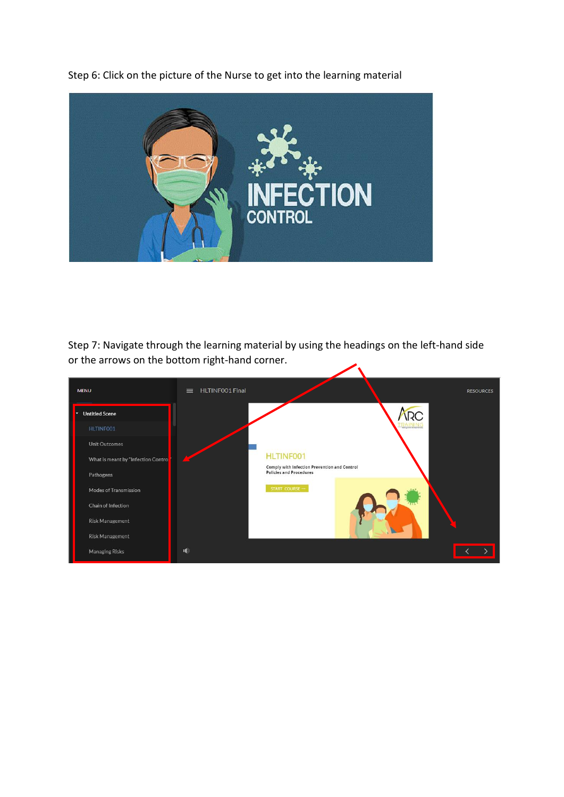**TON** 

Step 7: Navigate through the learning material by using the headings on the left-hand side or the arrows on the bottom right-hand corner. $\overline{\phantom{a}}$ 

| <b>MENU</b>                         | HLTINFO01 Final<br>$\equiv$ | <b>RESOURCES</b>                                                               |
|-------------------------------------|-----------------------------|--------------------------------------------------------------------------------|
| <b>Untitled Scene</b>               |                             | <b>IRC</b>                                                                     |
| HLTINF001                           |                             |                                                                                |
| <b>Unit Outcomes</b>                |                             |                                                                                |
| What is meant by "Infection Control |                             | <b>HLTINF001</b>                                                               |
| Pathogens                           |                             | Comply with Infection Prevention and Control<br><b>Policies and Procedures</b> |
| Modes of Transmission               |                             | START COURSE $-$                                                               |
| Chain of Infection                  |                             |                                                                                |
| <b>Risk Management</b>              |                             |                                                                                |
| <b>Risk Management</b>              |                             |                                                                                |
| <b>Managing Risks</b>               | $\blacksquare$              |                                                                                |

Step 6: Click on the picture of the Nurse to get into the learning material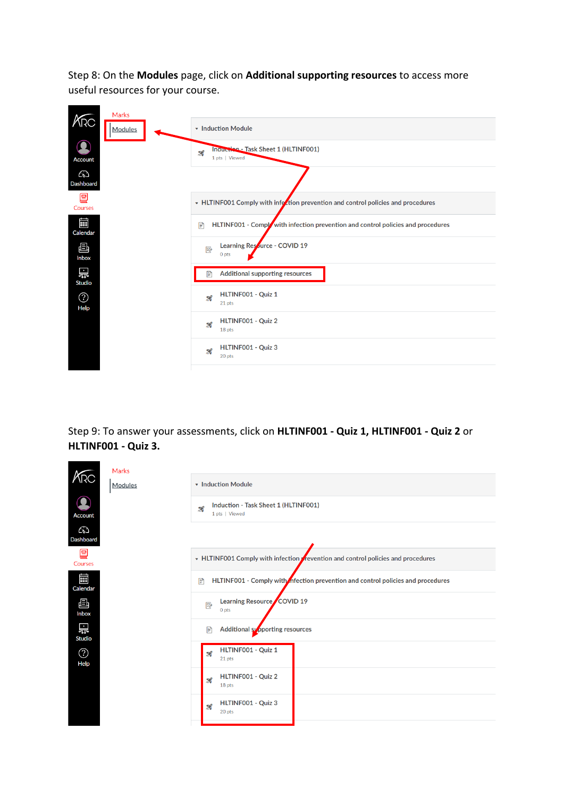Step 8: On the **Modules** page, click on **Additional supporting resources** to access more useful resources for your course.

| KRC                | Marks<br>Modules | • Induction Module                                                                    |  |  |  |  |
|--------------------|------------------|---------------------------------------------------------------------------------------|--|--|--|--|
| Account            |                  | Inquetion - Task Sheet 1 (HLTINF001)<br>$\boldsymbol{\mathcal{Z}}$<br>1 pts   Viewed  |  |  |  |  |
| ධ<br>Dashboard     |                  |                                                                                       |  |  |  |  |
| Γ⊒<br>Courses      |                  | • HLTINF001 Comply with infection prevention and control policies and procedures      |  |  |  |  |
| 鼺<br>Calendar      |                  | HLTINF001 - Comply with infection prevention and control policies and procedures<br>P |  |  |  |  |
| 画<br>Inbox         |                  | Learning Resource - COVID 19<br>國<br>0 pts                                            |  |  |  |  |
| 岊<br><b>Studio</b> |                  | <b>Additional supporting resources</b><br>P                                           |  |  |  |  |
| ⓒ<br>Help          |                  | HLTINF001 - Quiz 1<br>$\mathbf{z}$<br>21 pts                                          |  |  |  |  |
|                    |                  | HLTINF001 - Quiz 2<br>82<br>18 pts                                                    |  |  |  |  |
|                    |                  | HLTINF001 - Quiz 3<br>$\mathbf{z}$<br>20 pts                                          |  |  |  |  |

Step 9: To answer your assessments, click on **HLTINF001 - Quiz 1, HLTINF001 - Quiz 2** or **HLTINF001 - Quiz 3.**

|                    | <b>Marks</b>                                                                  |                                                                                     |  |  |  |  |
|--------------------|-------------------------------------------------------------------------------|-------------------------------------------------------------------------------------|--|--|--|--|
| NRC                | Modules                                                                       | • Induction Module                                                                  |  |  |  |  |
| <b>Account</b>     |                                                                               | Induction - Task Sheet 1 (HLTINF001)<br>82<br>1 pts   Viewed                        |  |  |  |  |
| ධ<br>Dashboard     |                                                                               |                                                                                     |  |  |  |  |
| l⊟<br>Courses      | • HLTINF001 Comply with infection vertion and control policies and procedures |                                                                                     |  |  |  |  |
| 藟<br>Calendar      |                                                                               | HLTINF001 - Comply with nection prevention and control policies and procedures<br>圕 |  |  |  |  |
| 画<br>Inbox         |                                                                               | Learning Resource COVID 19<br>國<br>0 pts                                            |  |  |  |  |
| 嵤<br><b>Studio</b> |                                                                               | Additional supporting resources<br>P                                                |  |  |  |  |
| ⊙<br>Help          |                                                                               | HLTINF001 - Quiz 1<br>82<br>21 pts                                                  |  |  |  |  |
|                    |                                                                               | HLTINF001 - Quiz 2<br>82<br>18 pts                                                  |  |  |  |  |
|                    |                                                                               | HLTINF001 - Quiz 3<br>$\boldsymbol{\mathcal{Z}}$<br>20 pts                          |  |  |  |  |
|                    |                                                                               |                                                                                     |  |  |  |  |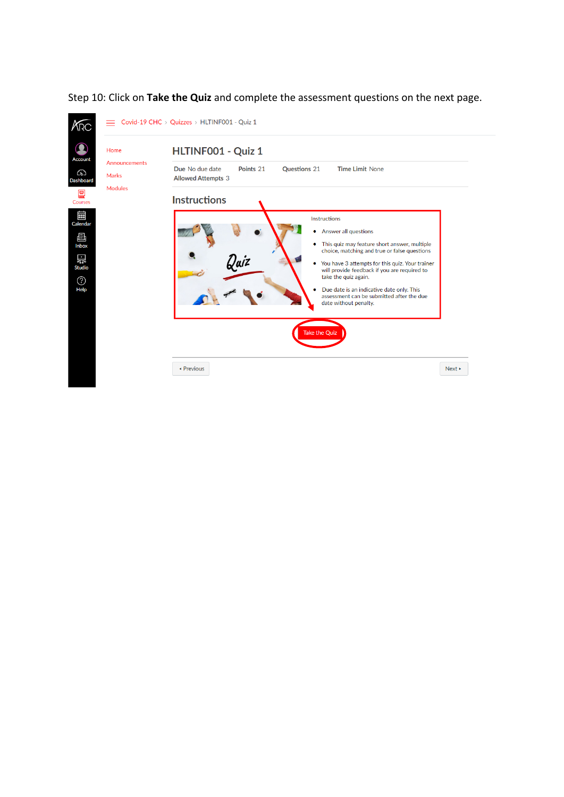

## Step 10: Click on **Take the Quiz** and complete the assessment questions on the next page.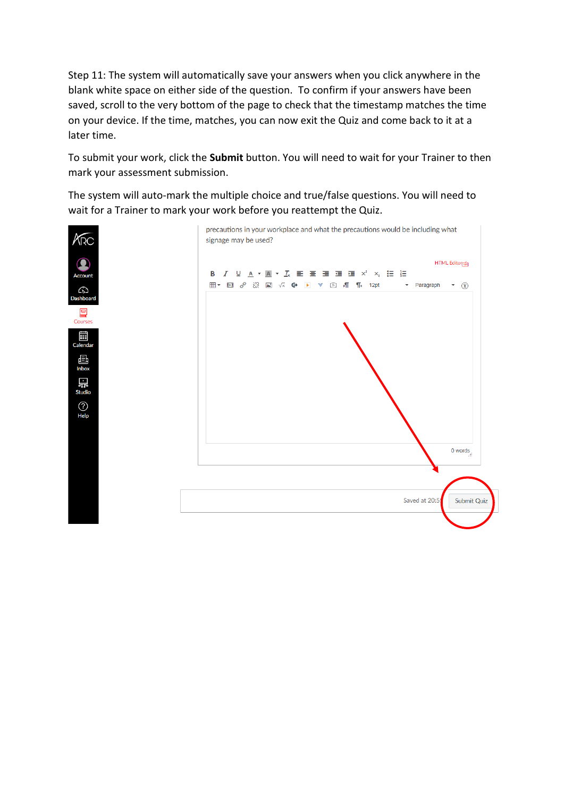Step 11: The system will automatically save your answers when you click anywhere in the blank white space on either side of the question. To confirm if your answers have been saved, scroll to the very bottom of the page to check that the timestamp matches the time on your device. If the time, matches, you can now exit the Quiz and come back to it at a later time.

To submit your work, click the **Submit** button. You will need to wait for your Trainer to then mark your assessment submission.

The system will auto-mark the multiple choice and true/false questions. You will need to wait for a Trainer to mark your work before you reattempt the Quiz.

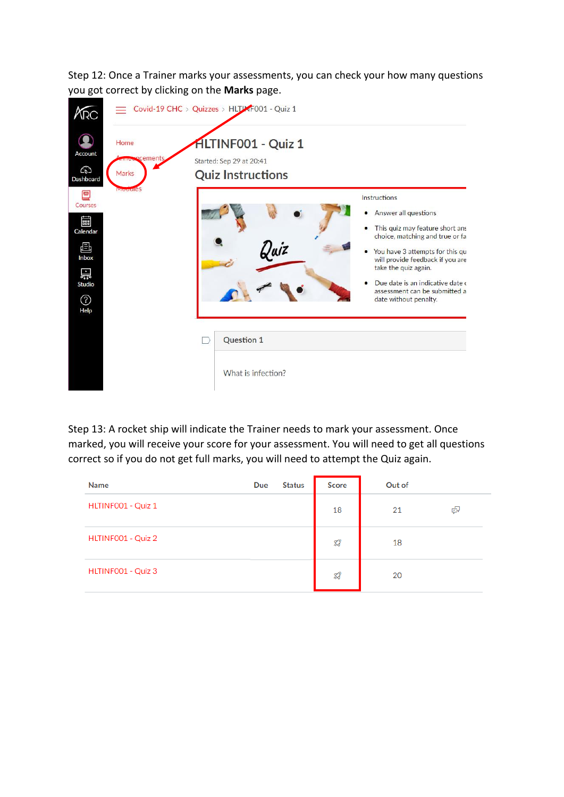Step 12: Once a Trainer marks your assessments, you can check your how many questions you got correct by clicking on the **Marks** page.



Step 13: A rocket ship will indicate the Trainer needs to mark your assessment. Once marked, you will receive your score for your assessment. You will need to get all questions correct so if you do not get full marks, you will need to attempt the Quiz again.

| <b>Name</b>        | Due | <b>Status</b> | <b>Score</b> | Out of |   |
|--------------------|-----|---------------|--------------|--------|---|
| HLTINF001 - Quiz 1 |     |               | 18           | 21     | 中 |
| HLTINF001 - Quiz 2 |     |               | Z,           | 18     |   |
| HLTINF001 - Quiz 3 |     |               | Z,           | 20     |   |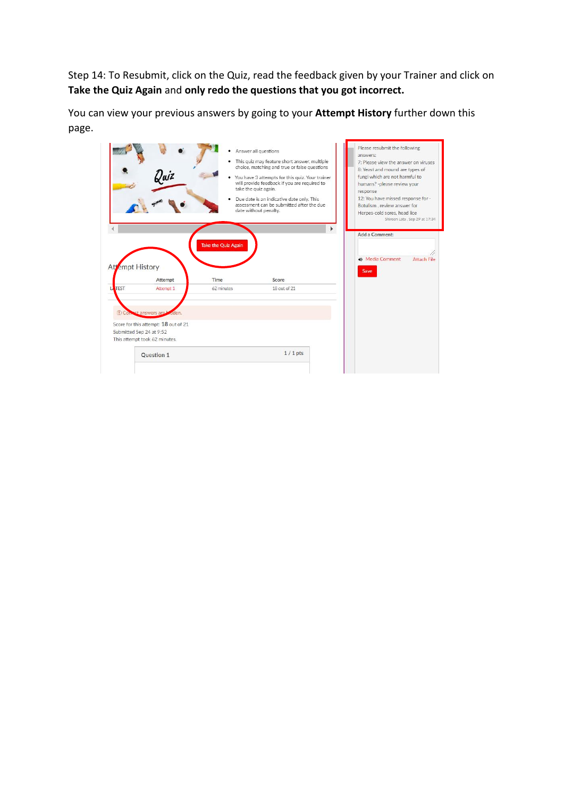Step 14: To Resubmit, click on the Quiz, read the feedback given by your Trainer and click on **Take the Quiz Again** and **only redo the questions that you got incorrect.**

You can view your previous answers by going to your **Attempt History** further down this page.